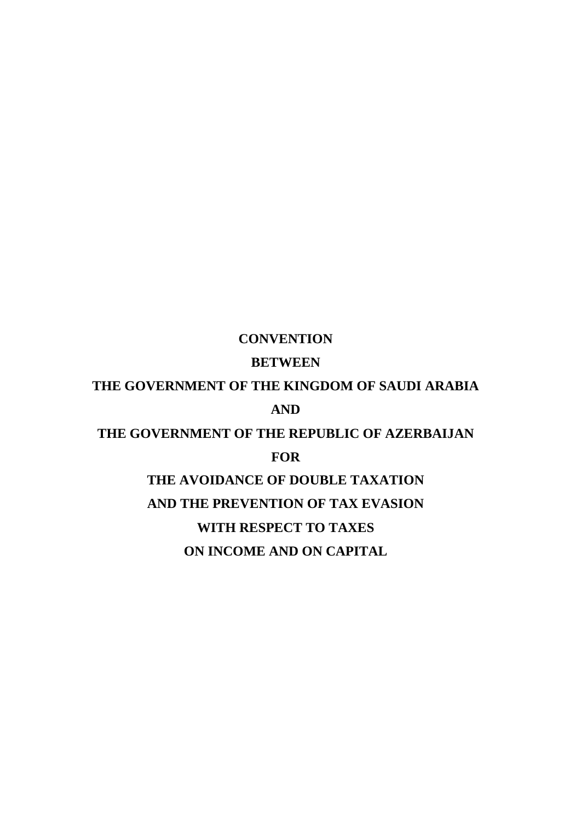### **CONVENTION**

#### **BETWEEN**

### **THE GOVERNMENT OF THE KINGDOM OF SAUDI ARABIA**

#### **AND**

# **THE GOVERNMENT OF THE REPUBLIC OF AZERBAIJAN FOR**

**THE AVOIDANCE OF DOUBLE TAXATION AND THE PREVENTION OF TAX EVASION WITH RESPECT TO TAXES ON INCOME AND ON CAPITAL**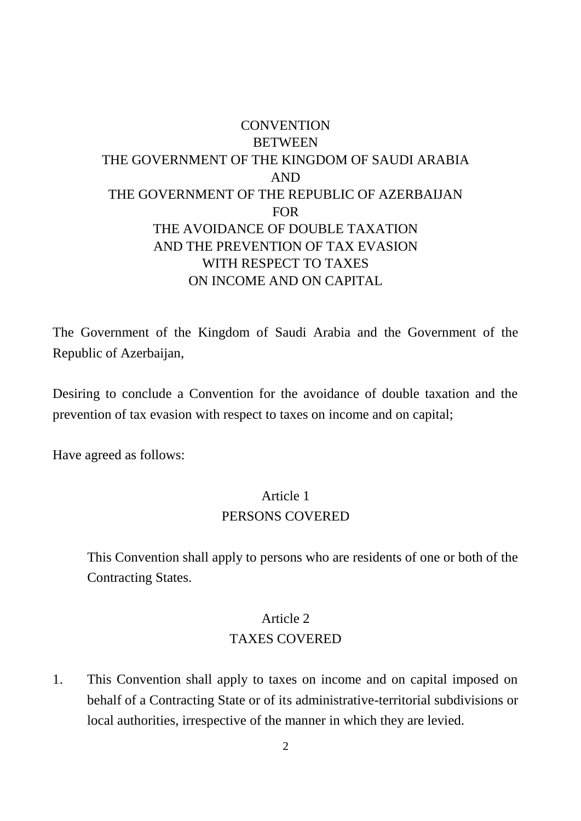# **CONVENTION BETWEEN** THE GOVERNMENT OF THE KINGDOM OF SAUDI ARABIA AND THE GOVERNMENT OF THE REPUBLIC OF AZERBAIJAN FOR THE AVOIDANCE OF DOUBLE TAXATION AND THE PREVENTION OF TAX EVASION WITH RESPECT TO TAXES ON INCOME AND ON CAPITAL

The Government of the Kingdom of Saudi Arabia and the Government of the Republic of Azerbaijan,

Desiring to conclude a Convention for the avoidance of double taxation and the prevention of tax evasion with respect to taxes on income and on capital;

Have agreed as follows:

### Article 1 PERSONS COVERED

This Convention shall apply to persons who are residents of one or both of the Contracting States.

## Article 2 TAXES COVERED

1. This Convention shall apply to taxes on income and on capital imposed on behalf of a Contracting State or of its administrative-territorial subdivisions or local authorities, irrespective of the manner in which they are levied.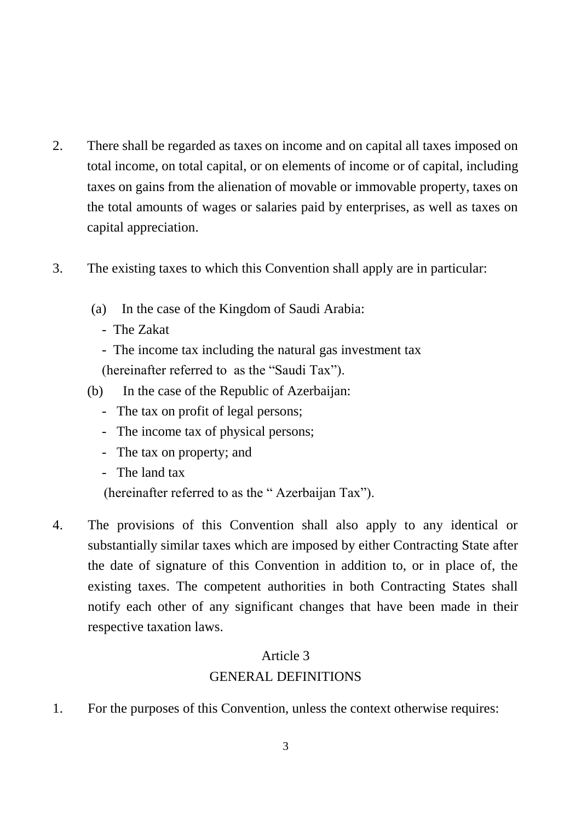- 2. There shall be regarded as taxes on income and on capital all taxes imposed on total income, on total capital, or on elements of income or of capital, including taxes on gains from the alienation of movable or immovable property, taxes on the total amounts of wages or salaries paid by enterprises, as well as taxes on capital appreciation.
- 3. The existing taxes to which this Convention shall apply are in particular:
	- (a) In the case of the Kingdom of Saudi Arabia:
		- The Zakat
		- The income tax including the natural gas investment tax (hereinafter referred to as the "Saudi Tax").
	- (b) In the case of the Republic of Azerbaijan:
		- The tax on profit of legal persons;
		- The income tax of physical persons;
		- The tax on property; and
		- The land tax

(hereinafter referred to as the " Azerbaijan Tax").

4. The provisions of this Convention shall also apply to any identical or substantially similar taxes which are imposed by either Contracting State after the date of signature of this Convention in addition to, or in place of, the existing taxes. The competent authorities in both Contracting States shall notify each other of any significant changes that have been made in their respective taxation laws.

# Article 3 GENERAL DEFINITIONS

1. For the purposes of this Convention, unless the context otherwise requires: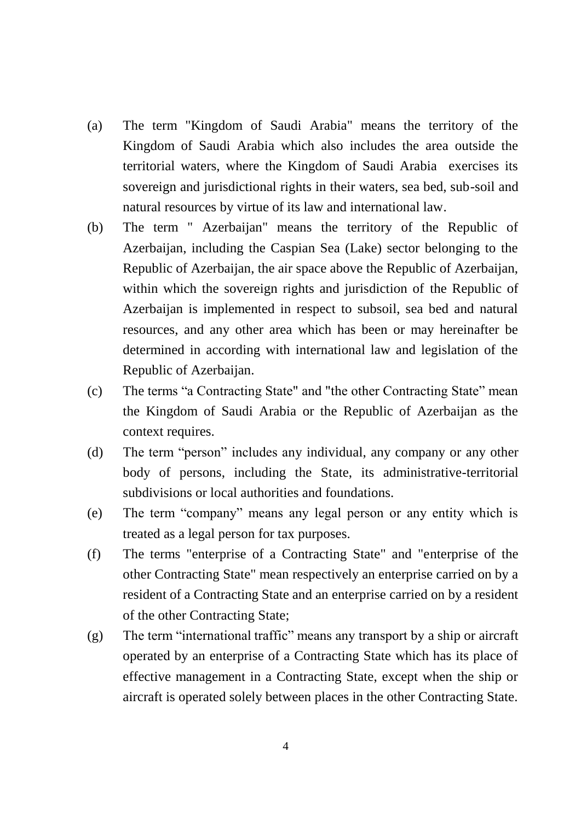- (a) The term "Kingdom of Saudi Arabia" means the territory of the Kingdom of Saudi Arabia which also includes the area outside the territorial waters, where the Kingdom of Saudi Arabia exercises its sovereign and jurisdictional rights in their waters, sea bed, sub-soil and natural resources by virtue of its law and international law.
- (b) The term " Azerbaijan" means the territory of the Republic of Azerbaijan, including the Caspian Sea (Lake) sector belonging to the Republic of Azerbaijan, the air space above the Republic of Azerbaijan, within which the sovereign rights and jurisdiction of the Republic of Azerbaijan is implemented in respect to subsoil, sea bed and natural resources, and any other area which has been or may hereinafter be determined in according with international law and legislation of the Republic of Azerbaijan.
- (c) The terms "a Contracting State" and "the other Contracting State" mean the Kingdom of Saudi Arabia or the Republic of Azerbaijan as the context requires.
- (d) The term "person" includes any individual, any company or any other body of persons, including the State, its administrative-territorial subdivisions or local authorities and foundations.
- (e) The term "company" means any legal person or any entity which is treated as a legal person for tax purposes.
- (f) The terms "enterprise of a Contracting State" and "enterprise of the other Contracting State" mean respectively an enterprise carried on by a resident of a Contracting State and an enterprise carried on by a resident of the other Contracting State;
- (g) The term "international traffic" means any transport by a ship or aircraft operated by an enterprise of a Contracting State which has its place of effective management in a Contracting State, except when the ship or aircraft is operated solely between places in the other Contracting State.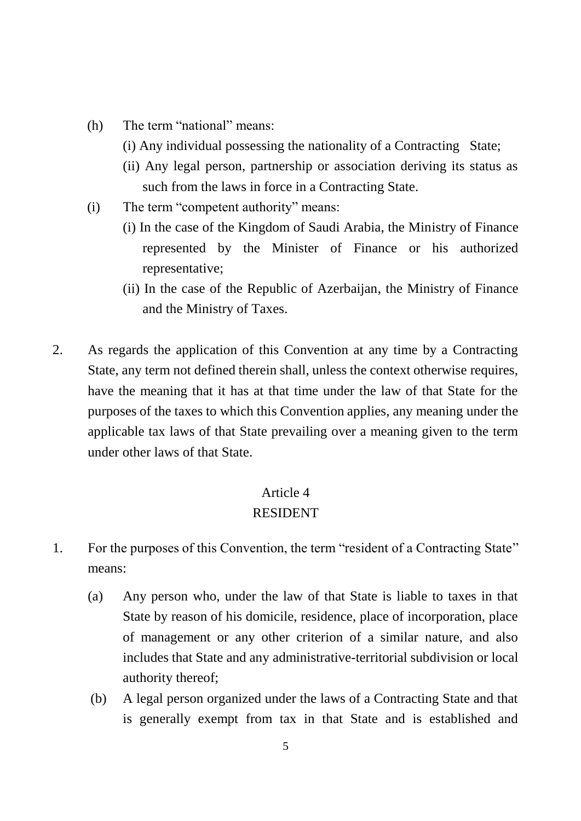- (h) The term "national" means:
	- (i) Any individual possessing the nationality of a Contracting State;
	- (ii) Any legal person, partnership or association deriving its status as such from the laws in force in a Contracting State.
- (i) The term "competent authority" means:
	- (i) In the case of the Kingdom of Saudi Arabia, the Ministry of Finance represented by the Minister of Finance or his authorized representative;
	- (ii) In the case of the Republic of Azerbaijan, the Ministry of Finance and the Ministry of Taxes.
- 2. As regards the application of this Convention at any time by a Contracting State, any term not defined therein shall, unless the context otherwise requires, have the meaning that it has at that time under the law of that State for the purposes of the taxes to which this Convention applies, any meaning under the applicable tax laws of that State prevailing over a meaning given to the term under other laws of that State.

# Article 4

#### RESIDENT

- 1. For the purposes of this Convention, the term "resident of a Contracting State" means:
	- (a) Any person who, under the law of that State is liable to taxes in that State by reason of his domicile, residence, place of incorporation, place of management or any other criterion of a similar nature, and also includes that State and any administrative-territorial subdivision or local authority thereof;
	- (b) A legal person organized under the laws of a Contracting State and that is generally exempt from tax in that State and is established and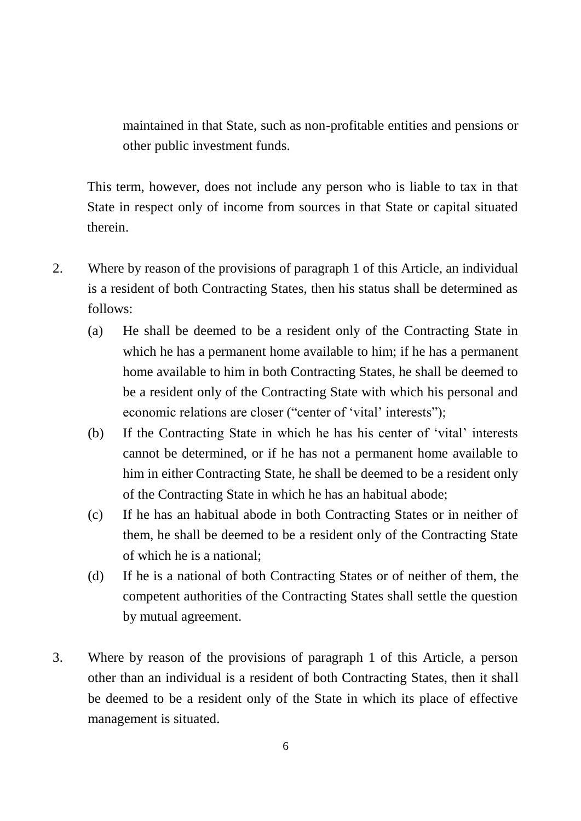maintained in that State, such as non-profitable entities and pensions or other public investment funds.

This term, however, does not include any person who is liable to tax in that State in respect only of income from sources in that State or capital situated therein.

- 2. Where by reason of the provisions of paragraph 1 of this Article, an individual is a resident of both Contracting States, then his status shall be determined as follows:
	- (a) He shall be deemed to be a resident only of the Contracting State in which he has a permanent home available to him; if he has a permanent home available to him in both Contracting States, he shall be deemed to be a resident only of the Contracting State with which his personal and economic relations are closer ("center of 'vital' interests");
	- (b) If the Contracting State in which he has his center of 'vital' interests cannot be determined, or if he has not a permanent home available to him in either Contracting State, he shall be deemed to be a resident only of the Contracting State in which he has an habitual abode;
	- (c) If he has an habitual abode in both Contracting States or in neither of them, he shall be deemed to be a resident only of the Contracting State of which he is a national;
	- (d) If he is a national of both Contracting States or of neither of them, the competent authorities of the Contracting States shall settle the question by mutual agreement.
- 3. Where by reason of the provisions of paragraph 1 of this Article, a person other than an individual is a resident of both Contracting States, then it shall be deemed to be a resident only of the State in which its place of effective management is situated.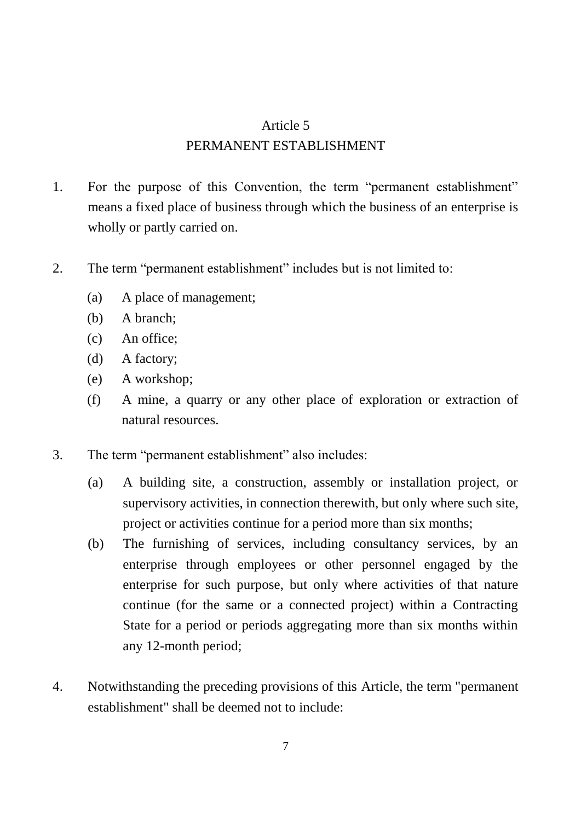# Article 5 PERMANENT ESTABLISHMENT

- 1. For the purpose of this Convention, the term "permanent establishment" means a fixed place of business through which the business of an enterprise is wholly or partly carried on.
- 2. The term "permanent establishment" includes but is not limited to:
	- (a) A place of management;
	- (b) A branch;
	- (c) An office;
	- (d) A factory;
	- (e) A workshop;
	- (f) A mine, a quarry or any other place of exploration or extraction of natural resources.
- 3. The term "permanent establishment" also includes:
	- (a) A building site, a construction, assembly or installation project, or supervisory activities, in connection therewith, but only where such site, project or activities continue for a period more than six months;
	- (b) The furnishing of services, including consultancy services, by an enterprise through employees or other personnel engaged by the enterprise for such purpose, but only where activities of that nature continue (for the same or a connected project) within a Contracting State for a period or periods aggregating more than six months within any 12-month period;
- 4. Notwithstanding the preceding provisions of this Article, the term "permanent establishment" shall be deemed not to include: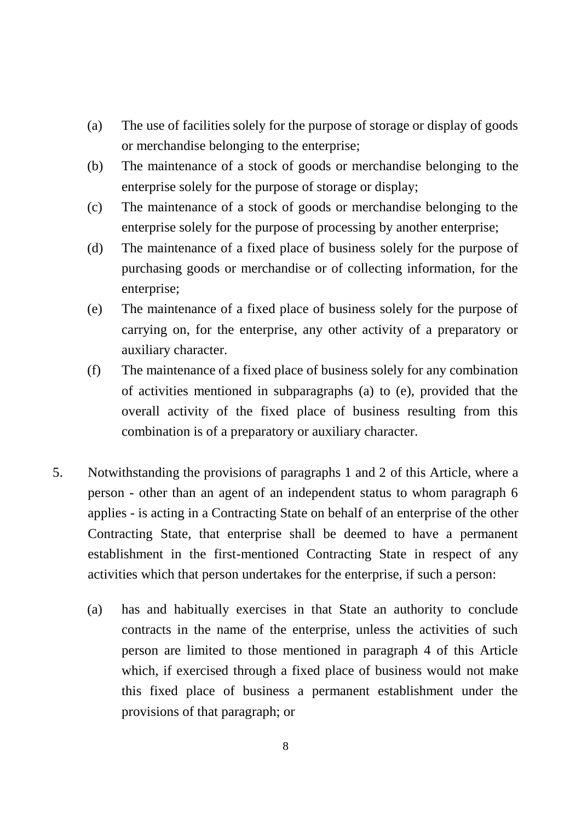- (a) The use of facilities solely for the purpose of storage or display of goods or merchandise belonging to the enterprise;
- (b) The maintenance of a stock of goods or merchandise belonging to the enterprise solely for the purpose of storage or display;
- (c) The maintenance of a stock of goods or merchandise belonging to the enterprise solely for the purpose of processing by another enterprise;
- (d) The maintenance of a fixed place of business solely for the purpose of purchasing goods or merchandise or of collecting information, for the enterprise;
- (e) The maintenance of a fixed place of business solely for the purpose of carrying on, for the enterprise, any other activity of a preparatory or auxiliary character.
- (f) The maintenance of a fixed place of business solely for any combination of activities mentioned in subparagraphs (a) to (e), provided that the overall activity of the fixed place of business resulting from this combination is of a preparatory or auxiliary character.
- 5. Notwithstanding the provisions of paragraphs 1 and 2 of this Article, where a person - other than an agent of an independent status to whom paragraph 6 applies - is acting in a Contracting State on behalf of an enterprise of the other Contracting State, that enterprise shall be deemed to have a permanent establishment in the first-mentioned Contracting State in respect of any activities which that person undertakes for the enterprise, if such a person:
	- (a) has and habitually exercises in that State an authority to conclude contracts in the name of the enterprise, unless the activities of such person are limited to those mentioned in paragraph 4 of this Article which, if exercised through a fixed place of business would not make this fixed place of business a permanent establishment under the provisions of that paragraph; or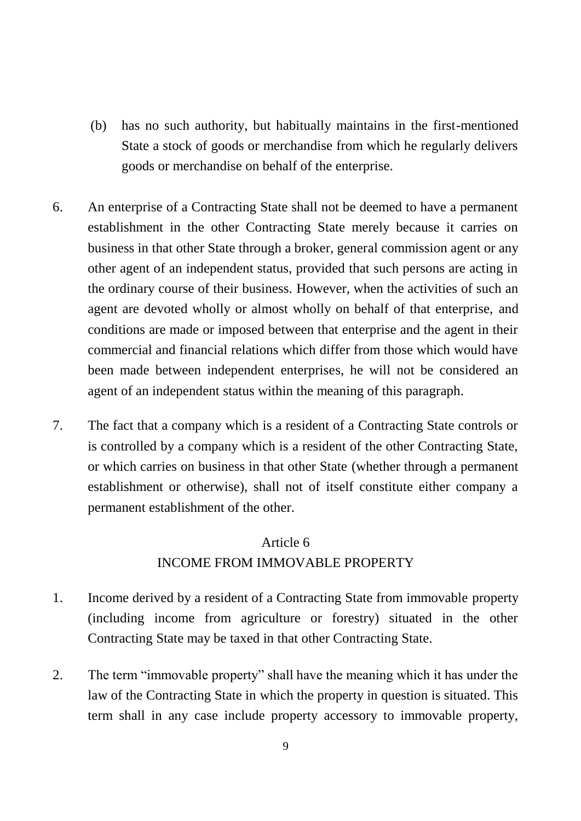- (b) has no such authority, but habitually maintains in the first-mentioned State a stock of goods or merchandise from which he regularly delivers goods or merchandise on behalf of the enterprise.
- 6. An enterprise of a Contracting State shall not be deemed to have a permanent establishment in the other Contracting State merely because it carries on business in that other State through a broker, general commission agent or any other agent of an independent status, provided that such persons are acting in the ordinary course of their business. However, when the activities of such an agent are devoted wholly or almost wholly on behalf of that enterprise, and conditions are made or imposed between that enterprise and the agent in their commercial and financial relations which differ from those which would have been made between independent enterprises, he will not be considered an agent of an independent status within the meaning of this paragraph.
- 7. The fact that a company which is a resident of a Contracting State controls or is controlled by a company which is a resident of the other Contracting State, or which carries on business in that other State (whether through a permanent establishment or otherwise), shall not of itself constitute either company a permanent establishment of the other.

### Article 6 INCOME FROM IMMOVABLE PROPERTY

- 1. Income derived by a resident of a Contracting State from immovable property (including income from agriculture or forestry) situated in the other Contracting State may be taxed in that other Contracting State.
- 2. The term "immovable property" shall have the meaning which it has under the law of the Contracting State in which the property in question is situated. This term shall in any case include property accessory to immovable property,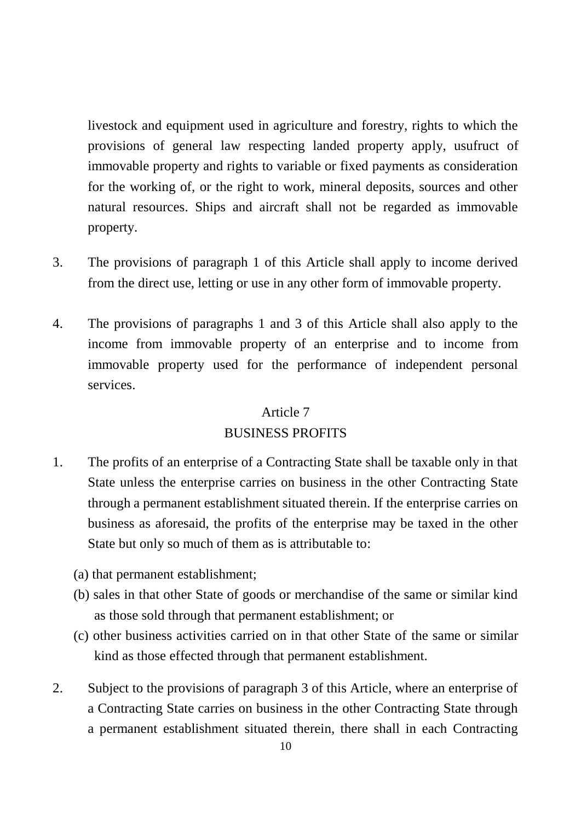livestock and equipment used in agriculture and forestry, rights to which the provisions of general law respecting landed property apply, usufruct of immovable property and rights to variable or fixed payments as consideration for the working of, or the right to work, mineral deposits, sources and other natural resources. Ships and aircraft shall not be regarded as immovable property.

- 3. The provisions of paragraph 1 of this Article shall apply to income derived from the direct use, letting or use in any other form of immovable property.
- 4. The provisions of paragraphs 1 and 3 of this Article shall also apply to the income from immovable property of an enterprise and to income from immovable property used for the performance of independent personal services.

#### Article 7

#### BUSINESS PROFITS

- 1. The profits of an enterprise of a Contracting State shall be taxable only in that State unless the enterprise carries on business in the other Contracting State through a permanent establishment situated therein. If the enterprise carries on business as aforesaid, the profits of the enterprise may be taxed in the other State but only so much of them as is attributable to:
	- (a) that permanent establishment;
	- (b) sales in that other State of goods or merchandise of the same or similar kind as those sold through that permanent establishment; or
	- (c) other business activities carried on in that other State of the same or similar kind as those effected through that permanent establishment.
- 2. Subject to the provisions of paragraph 3 of this Article, where an enterprise of a Contracting State carries on business in the other Contracting State through a permanent establishment situated therein, there shall in each Contracting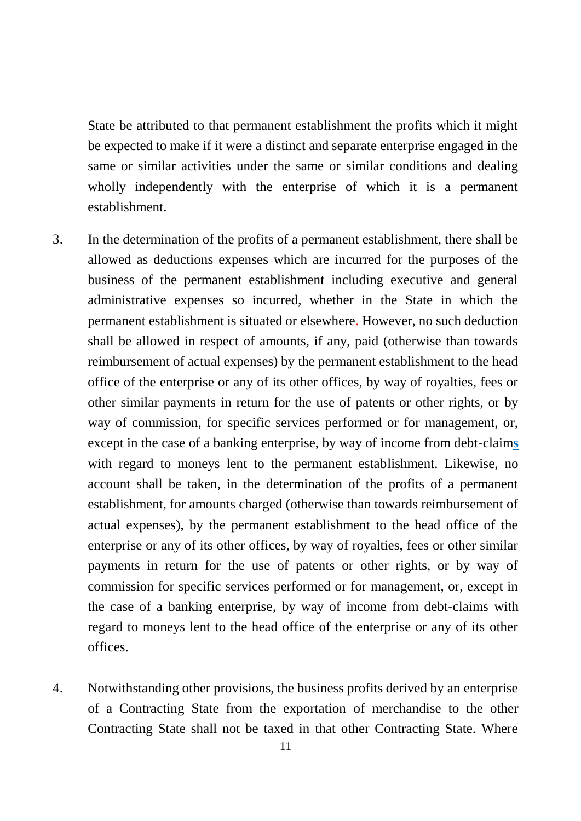State be attributed to that permanent establishment the profits which it might be expected to make if it were a distinct and separate enterprise engaged in the same or similar activities under the same or similar conditions and dealing wholly independently with the enterprise of which it is a permanent establishment.

- 3. In the determination of the profits of a permanent establishment, there shall be allowed as deductions expenses which are incurred for the purposes of the business of the permanent establishment including executive and general administrative expenses so incurred, whether in the State in which the permanent establishment is situated or elsewhere. However, no such deduction shall be allowed in respect of amounts, if any, paid (otherwise than towards reimbursement of actual expenses) by the permanent establishment to the head office of the enterprise or any of its other offices, by way of royalties, fees or other similar payments in return for the use of patents or other rights, or by way of commission, for specific services performed or for management, or, except in the case of a banking enterprise, by way of income from debt-claim**s** with regard to moneys lent to the permanent establishment. Likewise, no account shall be taken, in the determination of the profits of a permanent establishment, for amounts charged (otherwise than towards reimbursement of actual expenses), by the permanent establishment to the head office of the enterprise or any of its other offices, by way of royalties, fees or other similar payments in return for the use of patents or other rights, or by way of commission for specific services performed or for management, or, except in the case of a banking enterprise, by way of income from debt-claims with regard to moneys lent to the head office of the enterprise or any of its other offices.
- 4. Notwithstanding other provisions, the business profits derived by an enterprise of a Contracting State from the exportation of merchandise to the other Contracting State shall not be taxed in that other Contracting State. Where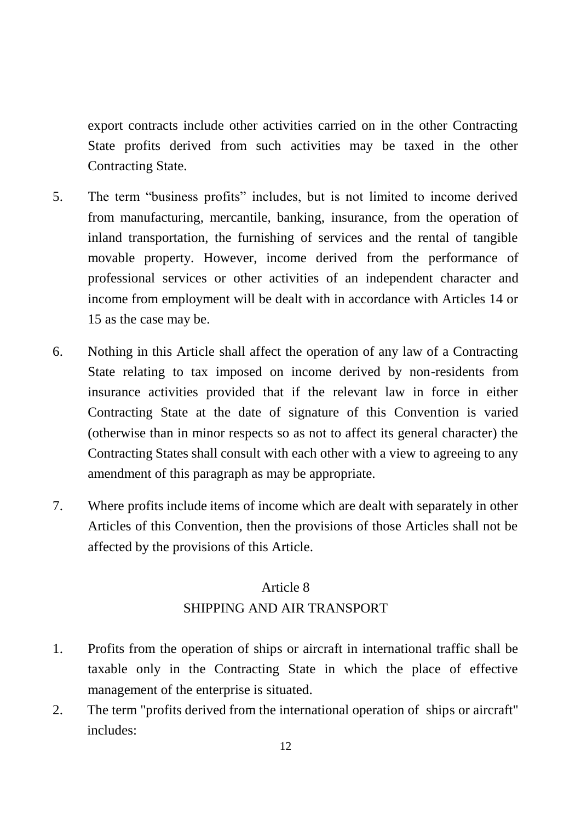export contracts include other activities carried on in the other Contracting State profits derived from such activities may be taxed in the other Contracting State.

- 5. The term "business profits" includes, but is not limited to income derived from manufacturing, mercantile, banking, insurance, from the operation of inland transportation, the furnishing of services and the rental of tangible movable property. However, income derived from the performance of professional services or other activities of an independent character and income from employment will be dealt with in accordance with Articles 14 or 15 as the case may be.
- 6. Nothing in this Article shall affect the operation of any law of a Contracting State relating to tax imposed on income derived by non-residents from insurance activities provided that if the relevant law in force in either Contracting State at the date of signature of this Convention is varied (otherwise than in minor respects so as not to affect its general character) the Contracting States shall consult with each other with a view to agreeing to any amendment of this paragraph as may be appropriate.
- 7. Where profits include items of income which are dealt with separately in other Articles of this Convention, then the provisions of those Articles shall not be affected by the provisions of this Article.

# Article 8 SHIPPING AND AIR TRANSPORT

- 1. Profits from the operation of ships or aircraft in international traffic shall be taxable only in the Contracting State in which the place of effective management of the enterprise is situated.
- 2. The term "profits derived from the international operation of ships or aircraft" includes: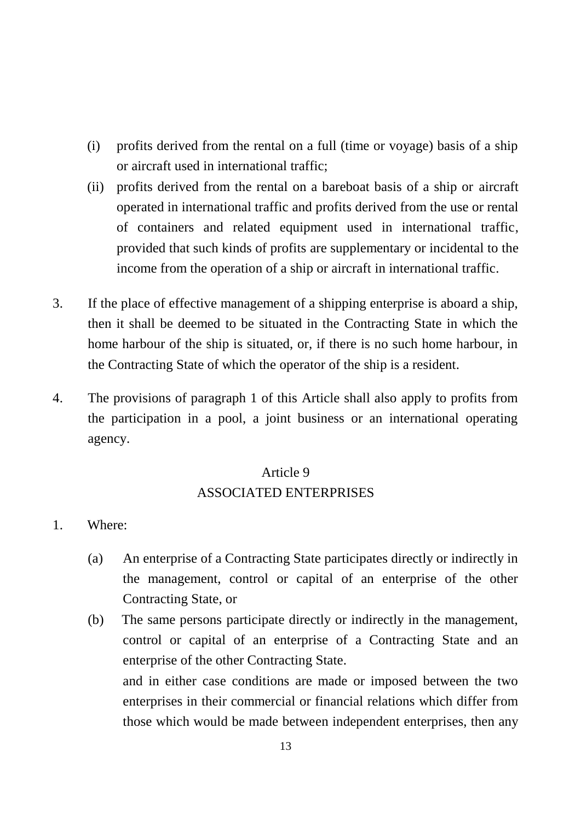- (i) profits derived from the rental on a full (time or voyage) basis of a ship or aircraft used in international traffic;
- (ii) profits derived from the rental on a bareboat basis of a ship or aircraft operated in international traffic and profits derived from the use or rental of containers and related equipment used in international traffic, provided that such kinds of profits are supplementary or incidental to the income from the operation of a ship or aircraft in international traffic.
- 3. If the place of effective management of a shipping enterprise is aboard a ship, then it shall be deemed to be situated in the Contracting State in which the home harbour of the ship is situated, or, if there is no such home harbour, in the Contracting State of which the operator of the ship is a resident.
- 4. The provisions of paragraph 1 of this Article shall also apply to profits from the participation in a pool, a joint business or an international operating agency.

# Article 9 ASSOCIATED ENTERPRISES

- 1. Where:
	- (a) An enterprise of a Contracting State participates directly or indirectly in the management, control or capital of an enterprise of the other Contracting State, or
	- (b) The same persons participate directly or indirectly in the management, control or capital of an enterprise of a Contracting State and an enterprise of the other Contracting State. and in either case conditions are made or imposed between the two enterprises in their commercial or financial relations which differ from those which would be made between independent enterprises, then any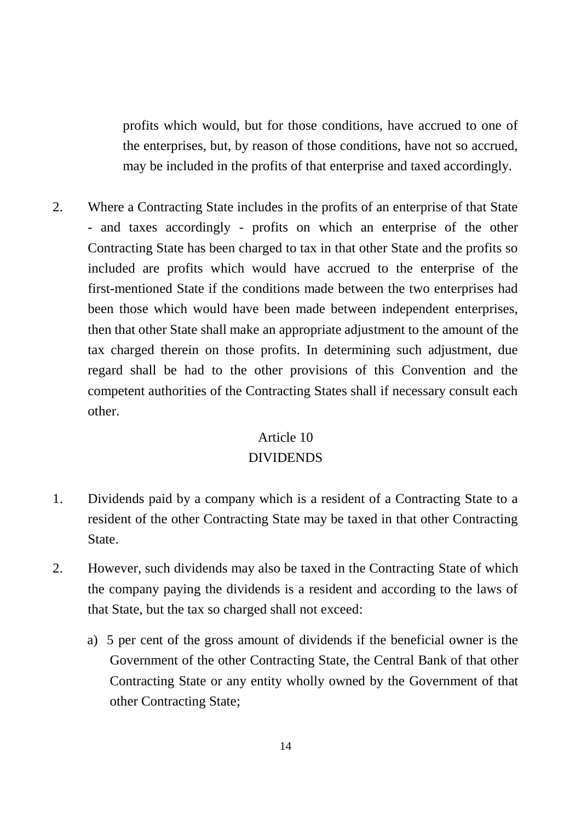profits which would, but for those conditions, have accrued to one of the enterprises, but, by reason of those conditions, have not so accrued, may be included in the profits of that enterprise and taxed accordingly.

2. Where a Contracting State includes in the profits of an enterprise of that State - and taxes accordingly - profits on which an enterprise of the other Contracting State has been charged to tax in that other State and the profits so included are profits which would have accrued to the enterprise of the first-mentioned State if the conditions made between the two enterprises had been those which would have been made between independent enterprises, then that other State shall make an appropriate adjustment to the amount of the tax charged therein on those profits. In determining such adjustment, due regard shall be had to the other provisions of this Convention and the competent authorities of the Contracting States shall if necessary consult each other.

# Article 10

# DIVIDENDS

- 1. Dividends paid by a company which is a resident of a Contracting State to a resident of the other Contracting State may be taxed in that other Contracting State.
- 2. However, such dividends may also be taxed in the Contracting State of which the company paying the dividends is a resident and according to the laws of that State, but the tax so charged shall not exceed:
	- a) 5 per cent of the gross amount of dividends if the beneficial owner is the Government of the other Contracting State, the Central Bank of that other Contracting State or any entity wholly owned by the Government of that other Contracting State;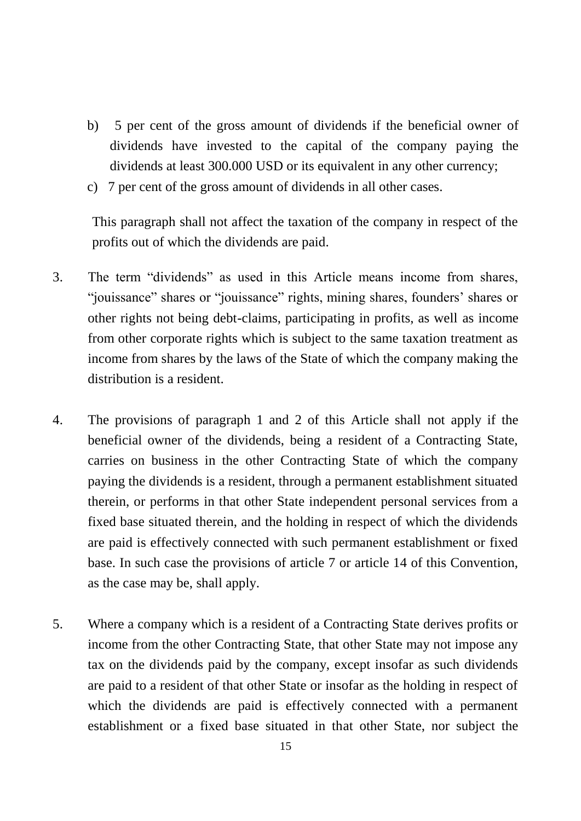- b) 5 per cent of the gross amount of dividends if the beneficial owner of dividends have invested to the capital of the company paying the dividends at least 300.000 USD or its equivalent in any other currency;
- c) 7 per cent of the gross amount of dividends in all other cases.

This paragraph shall not affect the taxation of the company in respect of the profits out of which the dividends are paid.

- 3. The term "dividends" as used in this Article means income from shares, "jouissance" shares or "jouissance" rights, mining shares, founders' shares or other rights not being debt-claims, participating in profits, as well as income from other corporate rights which is subject to the same taxation treatment as income from shares by the laws of the State of which the company making the distribution is a resident.
- 4. The provisions of paragraph 1 and 2 of this Article shall not apply if the beneficial owner of the dividends, being a resident of a Contracting State, carries on business in the other Contracting State of which the company paying the dividends is a resident, through a permanent establishment situated therein, or performs in that other State independent personal services from a fixed base situated therein, and the holding in respect of which the dividends are paid is effectively connected with such permanent establishment or fixed base. In such case the provisions of article 7 or article 14 of this Convention, as the case may be, shall apply.
- 5. Where a company which is a resident of a Contracting State derives profits or income from the other Contracting State, that other State may not impose any tax on the dividends paid by the company, except insofar as such dividends are paid to a resident of that other State or insofar as the holding in respect of which the dividends are paid is effectively connected with a permanent establishment or a fixed base situated in that other State, nor subject the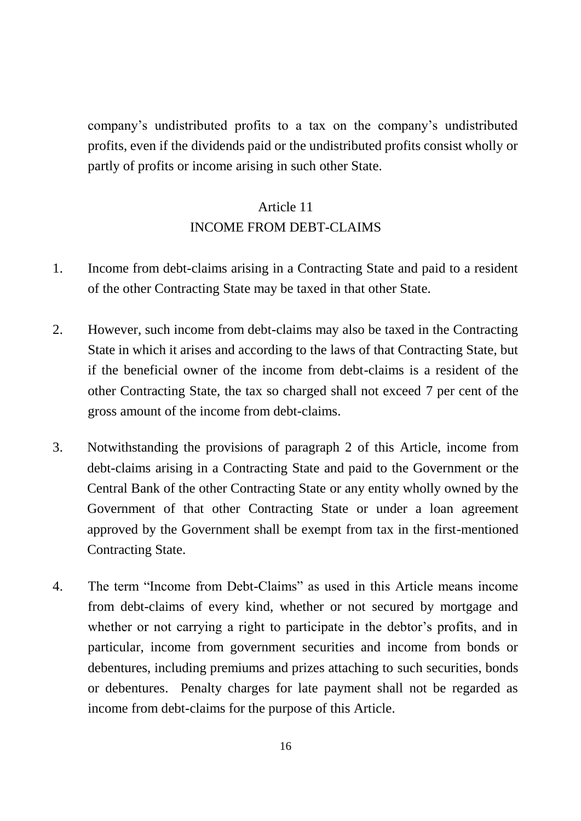company's undistributed profits to a tax on the company's undistributed profits, even if the dividends paid or the undistributed profits consist wholly or partly of profits or income arising in such other State.

# Article 11 INCOME FROM DEBT-CLAIMS

- 1. Income from debt-claims arising in a Contracting State and paid to a resident of the other Contracting State may be taxed in that other State.
- 2. However, such income from debt-claims may also be taxed in the Contracting State in which it arises and according to the laws of that Contracting State, but if the beneficial owner of the income from debt-claims is a resident of the other Contracting State, the tax so charged shall not exceed 7 per cent of the gross amount of the income from debt-claims.
- 3. Notwithstanding the provisions of paragraph 2 of this Article, income from debt-claims arising in a Contracting State and paid to the Government or the Central Bank of the other Contracting State or any entity wholly owned by the Government of that other Contracting State or under a loan agreement approved by the Government shall be exempt from tax in the first-mentioned Contracting State.
- 4. The term "Income from Debt-Claims" as used in this Article means income from debt-claims of every kind, whether or not secured by mortgage and whether or not carrying a right to participate in the debtor's profits, and in particular, income from government securities and income from bonds or debentures, including premiums and prizes attaching to such securities, bonds or debentures. Penalty charges for late payment shall not be regarded as income from debt-claims for the purpose of this Article.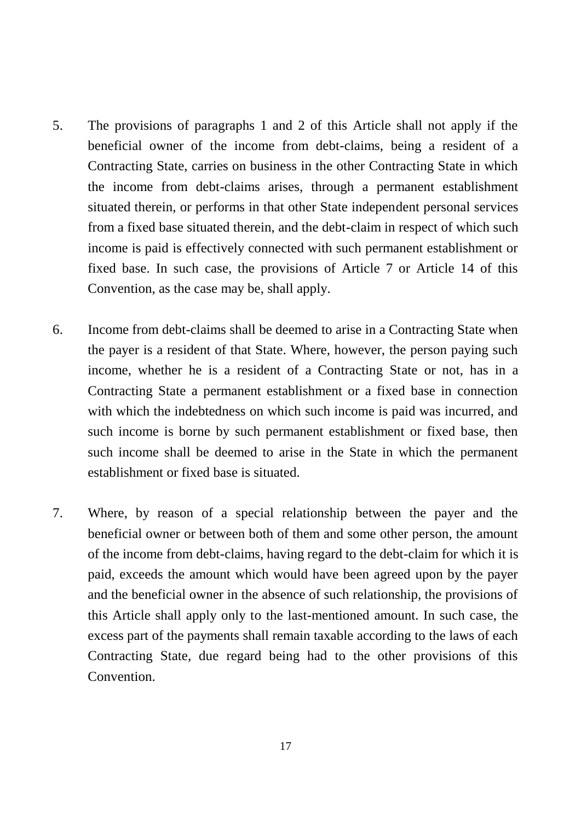- 5. The provisions of paragraphs 1 and 2 of this Article shall not apply if the beneficial owner of the income from debt-claims, being a resident of a Contracting State, carries on business in the other Contracting State in which the income from debt-claims arises, through a permanent establishment situated therein, or performs in that other State independent personal services from a fixed base situated therein, and the debt-claim in respect of which such income is paid is effectively connected with such permanent establishment or fixed base. In such case, the provisions of Article 7 or Article 14 of this Convention, as the case may be, shall apply.
- 6. Income from debt-claims shall be deemed to arise in a Contracting State when the payer is a resident of that State. Where, however, the person paying such income, whether he is a resident of a Contracting State or not, has in a Contracting State a permanent establishment or a fixed base in connection with which the indebtedness on which such income is paid was incurred, and such income is borne by such permanent establishment or fixed base, then such income shall be deemed to arise in the State in which the permanent establishment or fixed base is situated.
- 7. Where, by reason of a special relationship between the payer and the beneficial owner or between both of them and some other person, the amount of the income from debt-claims, having regard to the debt-claim for which it is paid, exceeds the amount which would have been agreed upon by the payer and the beneficial owner in the absence of such relationship, the provisions of this Article shall apply only to the last-mentioned amount. In such case, the excess part of the payments shall remain taxable according to the laws of each Contracting State, due regard being had to the other provisions of this Convention.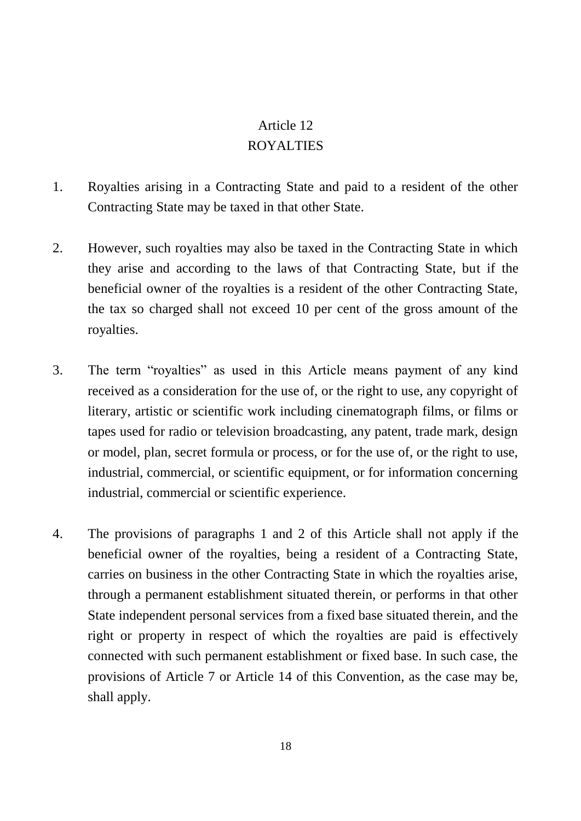# Article 12 ROYALTIES

- 1. Royalties arising in a Contracting State and paid to a resident of the other Contracting State may be taxed in that other State.
- 2. However, such royalties may also be taxed in the Contracting State in which they arise and according to the laws of that Contracting State, but if the beneficial owner of the royalties is a resident of the other Contracting State, the tax so charged shall not exceed 10 per cent of the gross amount of the royalties.
- 3. The term "royalties" as used in this Article means payment of any kind received as a consideration for the use of, or the right to use, any copyright of literary, artistic or scientific work including cinematograph films, or films or tapes used for radio or television broadcasting, any patent, trade mark, design or model, plan, secret formula or process, or for the use of, or the right to use, industrial, commercial, or scientific equipment, or for information concerning industrial, commercial or scientific experience.
- 4. The provisions of paragraphs 1 and 2 of this Article shall not apply if the beneficial owner of the royalties, being a resident of a Contracting State, carries on business in the other Contracting State in which the royalties arise, through a permanent establishment situated therein, or performs in that other State independent personal services from a fixed base situated therein, and the right or property in respect of which the royalties are paid is effectively connected with such permanent establishment or fixed base. In such case, the provisions of Article 7 or Article 14 of this Convention, as the case may be, shall apply.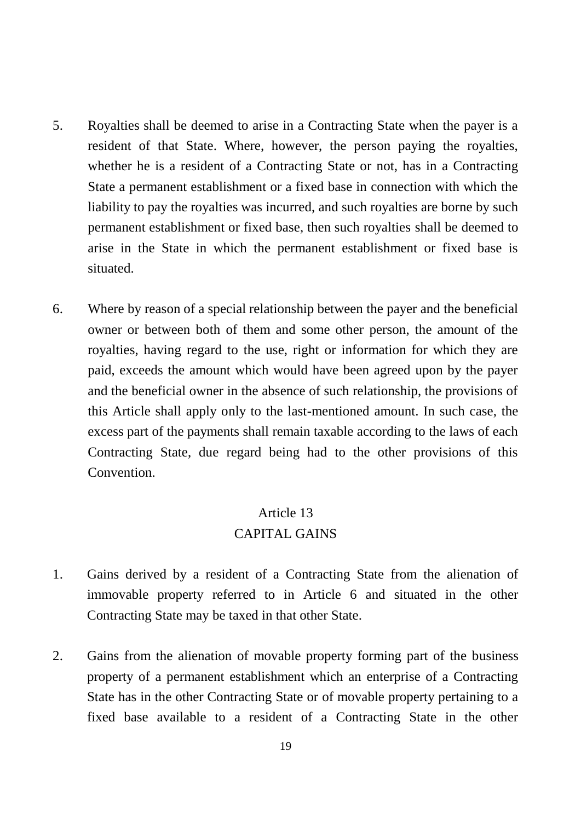- 5. Royalties shall be deemed to arise in a Contracting State when the payer is a resident of that State. Where, however, the person paying the royalties, whether he is a resident of a Contracting State or not, has in a Contracting State a permanent establishment or a fixed base in connection with which the liability to pay the royalties was incurred, and such royalties are borne by such permanent establishment or fixed base, then such royalties shall be deemed to arise in the State in which the permanent establishment or fixed base is situated.
- 6. Where by reason of a special relationship between the payer and the beneficial owner or between both of them and some other person, the amount of the royalties, having regard to the use, right or information for which they are paid, exceeds the amount which would have been agreed upon by the payer and the beneficial owner in the absence of such relationship, the provisions of this Article shall apply only to the last-mentioned amount. In such case, the excess part of the payments shall remain taxable according to the laws of each Contracting State, due regard being had to the other provisions of this Convention.

# Article 13

### CAPITAL GAINS

- 1. Gains derived by a resident of a Contracting State from the alienation of immovable property referred to in Article 6 and situated in the other Contracting State may be taxed in that other State.
- 2. Gains from the alienation of movable property forming part of the business property of a permanent establishment which an enterprise of a Contracting State has in the other Contracting State or of movable property pertaining to a fixed base available to a resident of a Contracting State in the other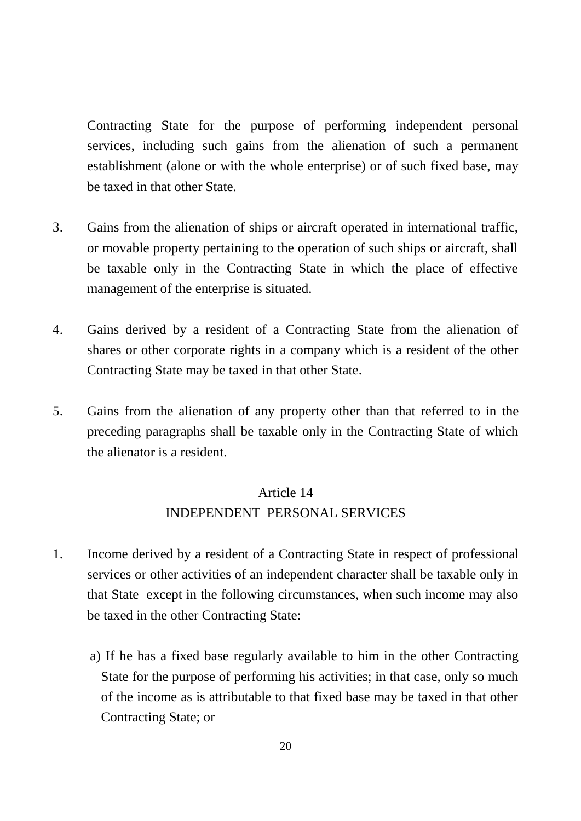Contracting State for the purpose of performing independent personal services, including such gains from the alienation of such a permanent establishment (alone or with the whole enterprise) or of such fixed base, may be taxed in that other State.

- 3. Gains from the alienation of ships or aircraft operated in international traffic, or movable property pertaining to the operation of such ships or aircraft, shall be taxable only in the Contracting State in which the place of effective management of the enterprise is situated.
- 4. Gains derived by a resident of a Contracting State from the alienation of shares or other corporate rights in a company which is a resident of the other Contracting State may be taxed in that other State.
- 5. Gains from the alienation of any property other than that referred to in the preceding paragraphs shall be taxable only in the Contracting State of which the alienator is a resident.

### Article 14 INDEPENDENT PERSONAL SERVICES

- 1. Income derived by a resident of a Contracting State in respect of professional services or other activities of an independent character shall be taxable only in that State except in the following circumstances, when such income may also be taxed in the other Contracting State:
	- a) If he has a fixed base regularly available to him in the other Contracting State for the purpose of performing his activities; in that case, only so much of the income as is attributable to that fixed base may be taxed in that other Contracting State; or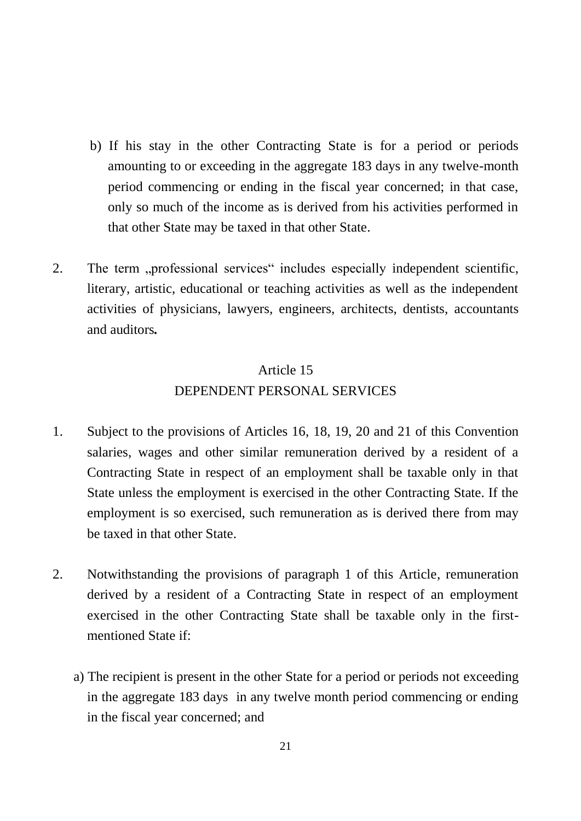- b) If his stay in the other Contracting State is for a period or periods amounting to or exceeding in the aggregate 183 days in any twelve-month period commencing or ending in the fiscal year concerned; in that case, only so much of the income as is derived from his activities performed in that other State may be taxed in that other State.
- 2. The term "professional services" includes especially independent scientific, literary, artistic, educational or teaching activities as well as the independent activities of physicians, lawyers, engineers, architects, dentists, accountants and auditors*.*

# Article 15 DEPENDENT PERSONAL SERVICES

- 1. Subject to the provisions of Articles 16, 18, 19, 20 and 21 of this Convention salaries, wages and other similar remuneration derived by a resident of a Contracting State in respect of an employment shall be taxable only in that State unless the employment is exercised in the other Contracting State. If the employment is so exercised, such remuneration as is derived there from may be taxed in that other State.
- 2. Notwithstanding the provisions of paragraph 1 of this Article, remuneration derived by a resident of a Contracting State in respect of an employment exercised in the other Contracting State shall be taxable only in the firstmentioned State if:
	- a) The recipient is present in the other State for a period or periods not exceeding in the aggregate 183 days in any twelve month period commencing or ending in the fiscal year concerned; and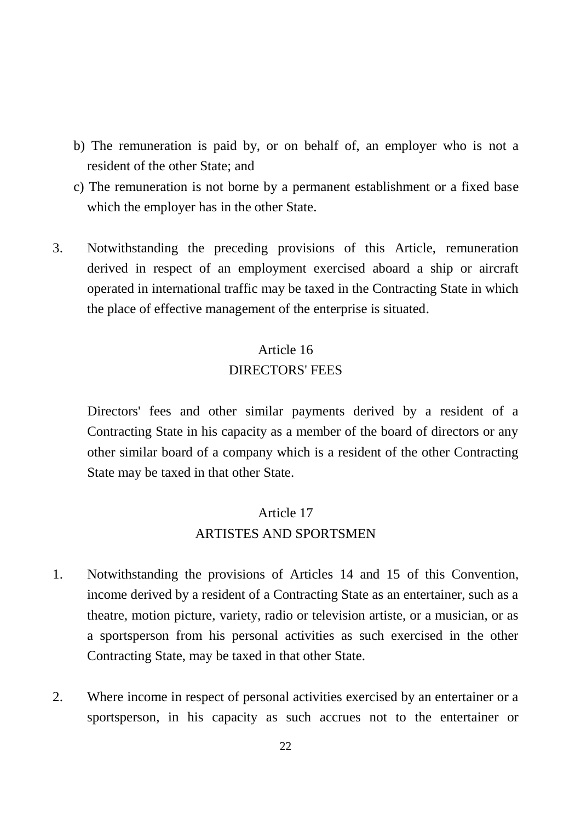- b) The remuneration is paid by, or on behalf of, an employer who is not a resident of the other State; and
- c) The remuneration is not borne by a permanent establishment or a fixed base which the employer has in the other State.
- 3. Notwithstanding the preceding provisions of this Article, remuneration derived in respect of an employment exercised aboard a ship or aircraft operated in international traffic may be taxed in the Contracting State in which the place of effective management of the enterprise is situated.

# Article 16 DIRECTORS' FEES

Directors' fees and other similar payments derived by a resident of a Contracting State in his capacity as a member of the board of directors or any other similar board of a company which is a resident of the other Contracting State may be taxed in that other State.

### Article 17 ARTISTES AND SPORTSMEN

- 1. Notwithstanding the provisions of Articles 14 and 15 of this Convention, income derived by a resident of a Contracting State as an entertainer, such as a theatre, motion picture, variety, radio or television artiste, or a musician, or as a sportsperson from his personal activities as such exercised in the other Contracting State, may be taxed in that other State.
- 2. Where income in respect of personal activities exercised by an entertainer or a sportsperson, in his capacity as such accrues not to the entertainer or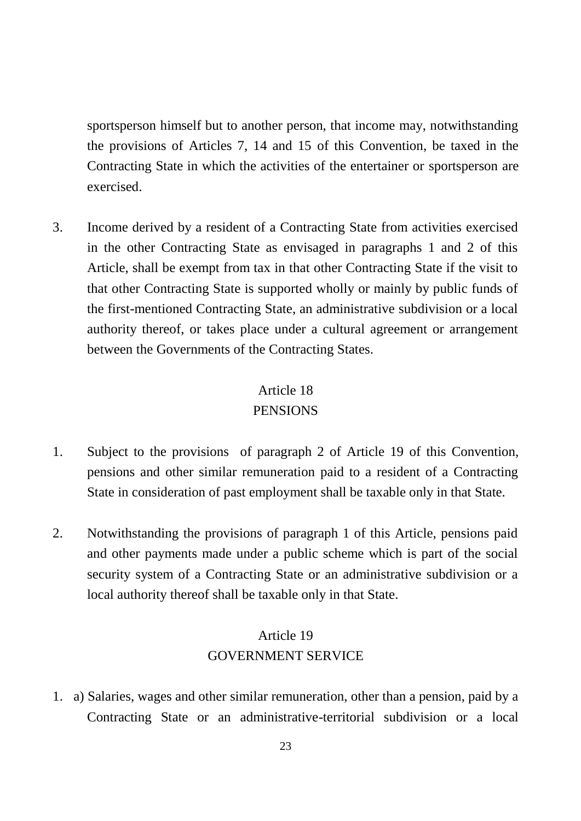sportsperson himself but to another person, that income may, notwithstanding the provisions of Articles 7, 14 and 15 of this Convention, be taxed in the Contracting State in which the activities of the entertainer or sportsperson are exercised.

3. Income derived by a resident of a Contracting State from activities exercised in the other Contracting State as envisaged in paragraphs 1 and 2 of this Article, shall be exempt from tax in that other Contracting State if the visit to that other Contracting State is supported wholly or mainly by public funds of the first-mentioned Contracting State, an administrative subdivision or a local authority thereof, or takes place under a cultural agreement or arrangement between the Governments of the Contracting States.

## Article 18

#### **PENSIONS**

- 1. Subject to the provisions of paragraph 2 of Article 19 of this Convention, pensions and other similar remuneration paid to a resident of a Contracting State in consideration of past employment shall be taxable only in that State.
- 2. Notwithstanding the provisions of paragraph 1 of this Article, pensions paid and other payments made under a public scheme which is part of the social security system of a Contracting State or an administrative subdivision or a local authority thereof shall be taxable only in that State.

# Article 19 GOVERNMENT SERVICE

1. a) Salaries, wages and other similar remuneration, other than a pension, paid by a Contracting State or an administrative-territorial subdivision or a local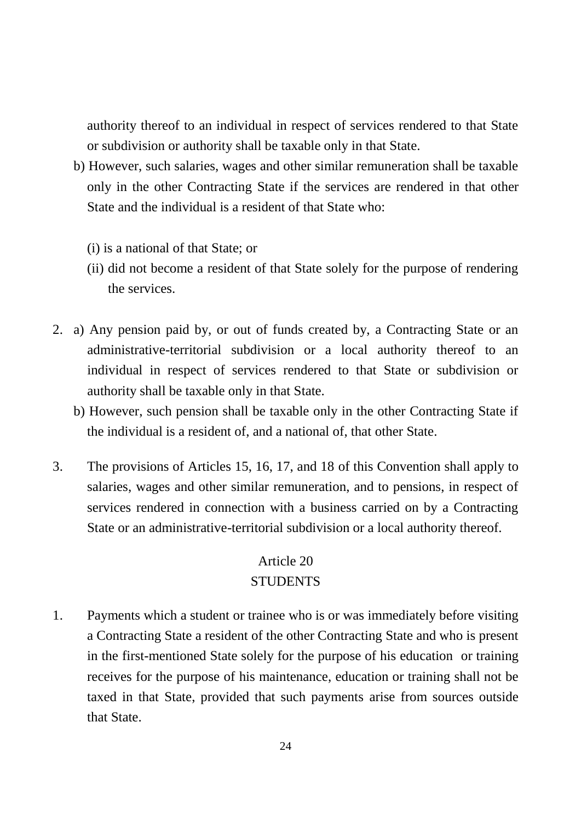authority thereof to an individual in respect of services rendered to that State or subdivision or authority shall be taxable only in that State.

- b) However, such salaries, wages and other similar remuneration shall be taxable only in the other Contracting State if the services are rendered in that other State and the individual is a resident of that State who:
	- (i) is a national of that State; or
	- (ii) did not become a resident of that State solely for the purpose of rendering the services.
- 2. a) Any pension paid by, or out of funds created by, a Contracting State or an administrative-territorial subdivision or a local authority thereof to an individual in respect of services rendered to that State or subdivision or authority shall be taxable only in that State.
	- b) However, such pension shall be taxable only in the other Contracting State if the individual is a resident of, and a national of, that other State.
- 3. The provisions of Articles 15, 16, 17, and 18 of this Convention shall apply to salaries, wages and other similar remuneration, and to pensions, in respect of services rendered in connection with a business carried on by a Contracting State or an administrative-territorial subdivision or a local authority thereof.

### Article 20 **STUDENTS**

1. Payments which a student or trainee who is or was immediately before visiting a Contracting State a resident of the other Contracting State and who is present in the first-mentioned State solely for the purpose of his education or training receives for the purpose of his maintenance, education or training shall not be taxed in that State, provided that such payments arise from sources outside that State.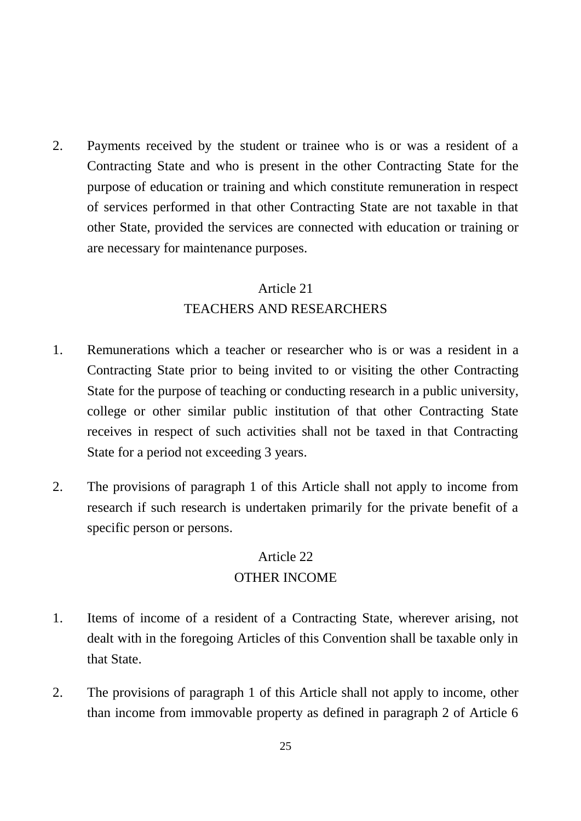2. Payments received by the student or trainee who is or was a resident of a Contracting State and who is present in the other Contracting State for the purpose of education or training and which constitute remuneration in respect of services performed in that other Contracting State are not taxable in that other State, provided the services are connected with education or training or are necessary for maintenance purposes.

### Article 21 TEACHERS AND RESEARCHERS

- 1. Remunerations which a teacher or researcher who is or was a resident in a Contracting State prior to being invited to or visiting the other Contracting State for the purpose of teaching or conducting research in a public university, college or other similar public institution of that other Contracting State receives in respect of such activities shall not be taxed in that Contracting State for a period not exceeding 3 years.
- 2. The provisions of paragraph 1 of this Article shall not apply to income from research if such research is undertaken primarily for the private benefit of a specific person or persons.

# Article 22 OTHER INCOME

- 1. Items of income of a resident of a Contracting State, wherever arising, not dealt with in the foregoing Articles of this Convention shall be taxable only in that State.
- 2. The provisions of paragraph 1 of this Article shall not apply to income, other than income from immovable property as defined in paragraph 2 of Article 6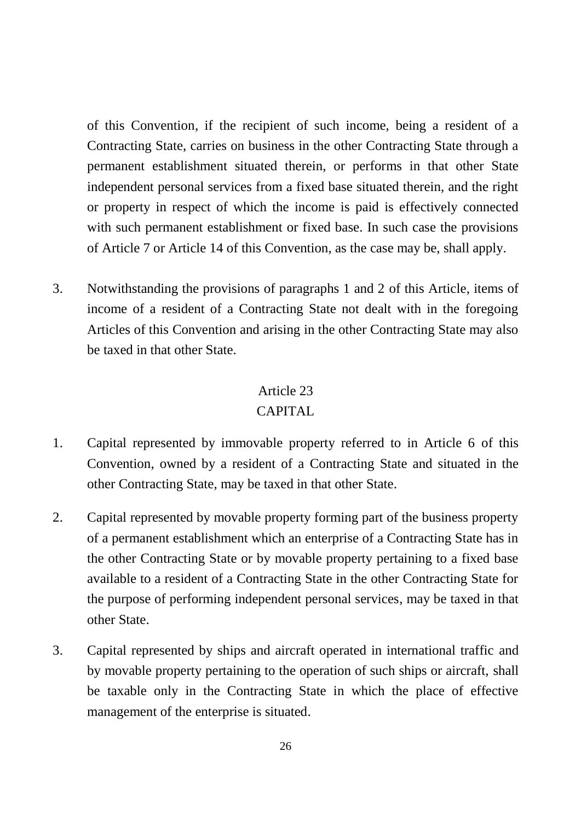of this Convention, if the recipient of such income, being a resident of a Contracting State, carries on business in the other Contracting State through a permanent establishment situated therein, or performs in that other State independent personal services from a fixed base situated therein, and the right or property in respect of which the income is paid is effectively connected with such permanent establishment or fixed base. In such case the provisions of Article 7 or Article 14 of this Convention, as the case may be, shall apply.

3. Notwithstanding the provisions of paragraphs 1 and 2 of this Article, items of income of a resident of a Contracting State not dealt with in the foregoing Articles of this Convention and arising in the other Contracting State may also be taxed in that other State.

#### Article 23

#### CAPITAL

- 1. Capital represented by immovable property referred to in Article 6 of this Convention, owned by a resident of a Contracting State and situated in the other Contracting State, may be taxed in that other State.
- 2. Capital represented by movable property forming part of the business property of a permanent establishment which an enterprise of a Contracting State has in the other Contracting State or by movable property pertaining to a fixed base available to a resident of a Contracting State in the other Contracting State for the purpose of performing independent personal services, may be taxed in that other State.
- 3. Capital represented by ships and aircraft operated in international traffic and by movable property pertaining to the operation of such ships or aircraft, shall be taxable only in the Contracting State in which the place of effective management of the enterprise is situated.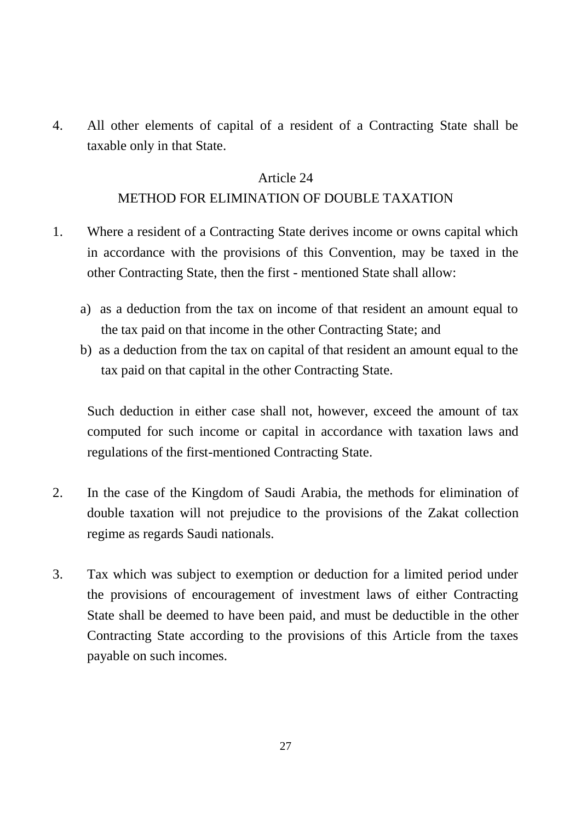4. All other elements of capital of a resident of a Contracting State shall be taxable only in that State.

#### Article 24

#### METHOD FOR ELIMINATION OF DOUBLE TAXATION

- 1. Where a resident of a Contracting State derives income or owns capital which in accordance with the provisions of this Convention, may be taxed in the other Contracting State, then the first - mentioned State shall allow:
	- a) as a deduction from the tax on income of that resident an amount equal to the tax paid on that income in the other Contracting State; and
	- b) as a deduction from the tax on capital of that resident an amount equal to the tax paid on that capital in the other Contracting State.

Such deduction in either case shall not, however, exceed the amount of tax computed for such income or capital in accordance with taxation laws and regulations of the first-mentioned Contracting State.

- 2. In the case of the Kingdom of Saudi Arabia, the methods for elimination of double taxation will not prejudice to the provisions of the Zakat collection regime as regards Saudi nationals.
- 3. Tax which was subject to exemption or deduction for a limited period under the provisions of encouragement of investment laws of either Contracting State shall be deemed to have been paid, and must be deductible in the other Contracting State according to the provisions of this Article from the taxes payable on such incomes.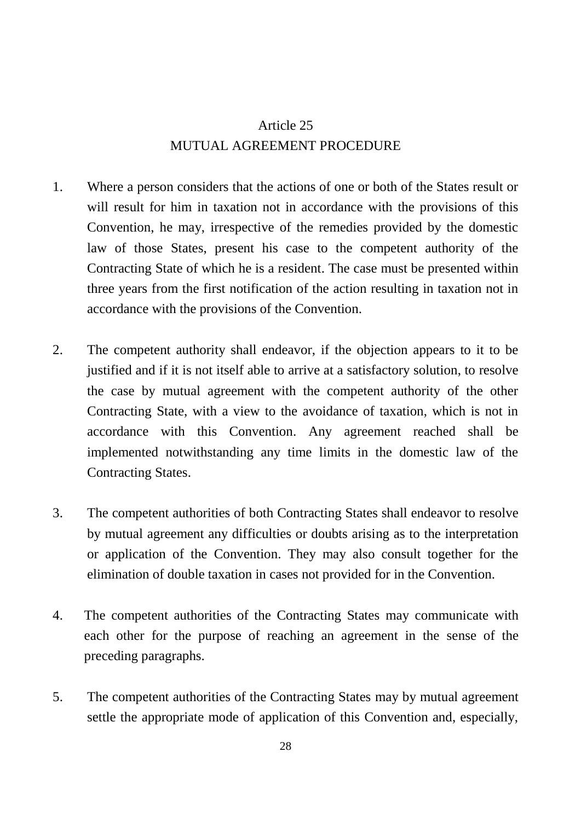# Article 25 MUTUAL AGREEMENT PROCEDURE

- 1. Where a person considers that the actions of one or both of the States result or will result for him in taxation not in accordance with the provisions of this Convention, he may, irrespective of the remedies provided by the domestic law of those States, present his case to the competent authority of the Contracting State of which he is a resident. The case must be presented within three years from the first notification of the action resulting in taxation not in accordance with the provisions of the Convention.
- 2. The competent authority shall endeavor, if the objection appears to it to be justified and if it is not itself able to arrive at a satisfactory solution, to resolve the case by mutual agreement with the competent authority of the other Contracting State, with a view to the avoidance of taxation, which is not in accordance with this Convention. Any agreement reached shall be implemented notwithstanding any time limits in the domestic law of the Contracting States.
- 3. The competent authorities of both Contracting States shall endeavor to resolve by mutual agreement any difficulties or doubts arising as to the interpretation or application of the Convention. They may also consult together for the elimination of double taxation in cases not provided for in the Convention.
- 4. The competent authorities of the Contracting States may communicate with each other for the purpose of reaching an agreement in the sense of the preceding paragraphs.
- 5. The competent authorities of the Contracting States may by mutual agreement settle the appropriate mode of application of this Convention and, especially,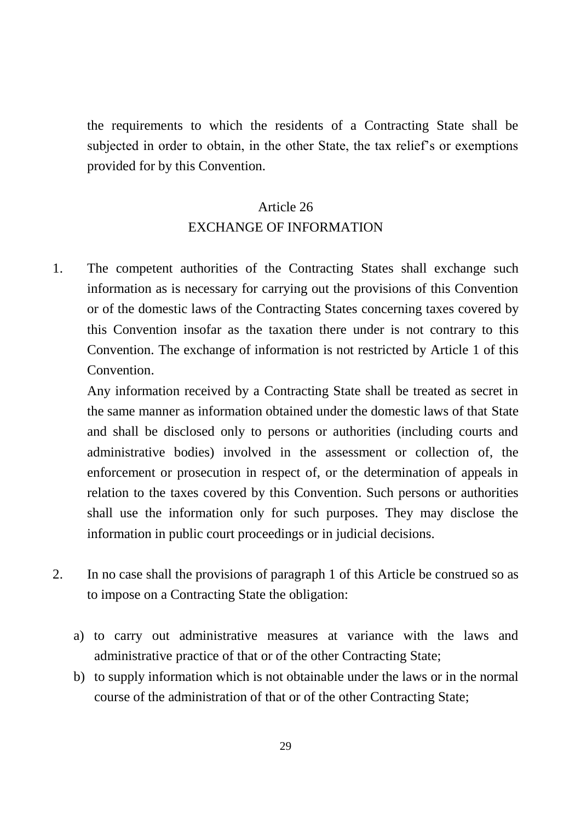the requirements to which the residents of a Contracting State shall be subjected in order to obtain, in the other State, the tax relief's or exemptions provided for by this Convention.

# Article 26 EXCHANGE OF INFORMATION

1. The competent authorities of the Contracting States shall exchange such information as is necessary for carrying out the provisions of this Convention or of the domestic laws of the Contracting States concerning taxes covered by this Convention insofar as the taxation there under is not contrary to this Convention. The exchange of information is not restricted by Article 1 of this Convention.

Any information received by a Contracting State shall be treated as secret in the same manner as information obtained under the domestic laws of that State and shall be disclosed only to persons or authorities (including courts and administrative bodies) involved in the assessment or collection of, the enforcement or prosecution in respect of, or the determination of appeals in relation to the taxes covered by this Convention. Such persons or authorities shall use the information only for such purposes. They may disclose the information in public court proceedings or in judicial decisions.

- 2. In no case shall the provisions of paragraph 1 of this Article be construed so as to impose on a Contracting State the obligation:
	- a) to carry out administrative measures at variance with the laws and administrative practice of that or of the other Contracting State;
	- b) to supply information which is not obtainable under the laws or in the normal course of the administration of that or of the other Contracting State;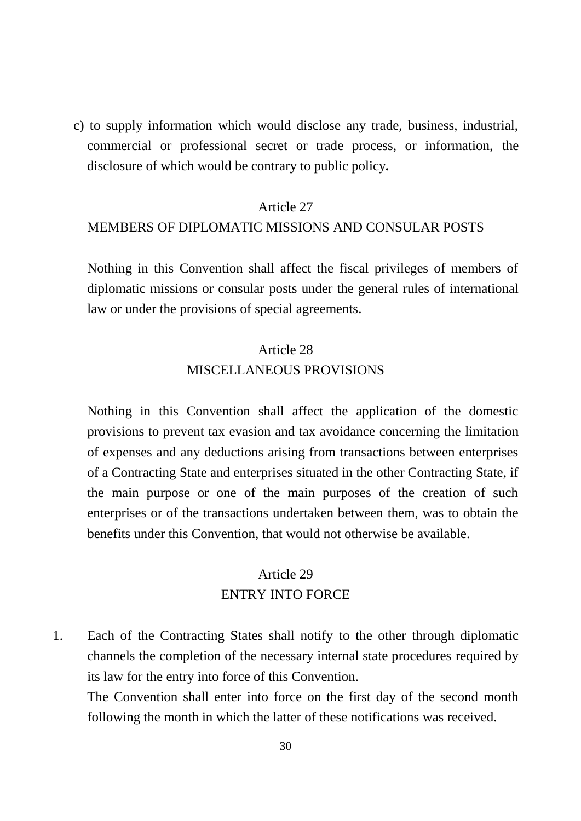c) to supply information which would disclose any trade, business, industrial, commercial or professional secret or trade process, or information, the disclosure of which would be contrary to public policy*.*

### Article 27 MEMBERS OF DIPLOMATIC MISSIONS AND CONSULAR POSTS

Nothing in this Convention shall affect the fiscal privileges of members of diplomatic missions or consular posts under the general rules of international law or under the provisions of special agreements.

# Article 28 MISCELLANEOUS PROVISIONS

Nothing in this Convention shall affect the application of the domestic provisions to prevent tax evasion and tax avoidance concerning the limitation of expenses and any deductions arising from transactions between enterprises of a Contracting State and enterprises situated in the other Contracting State, if the main purpose or one of the main purposes of the creation of such enterprises or of the transactions undertaken between them, was to obtain the benefits under this Convention, that would not otherwise be available.

# Article 29 ENTRY INTO FORCE

1. Each of the Contracting States shall notify to the other through diplomatic channels the completion of the necessary internal state procedures required by its law for the entry into force of this Convention.

The Convention shall enter into force on the first day of the second month following the month in which the latter of these notifications was received.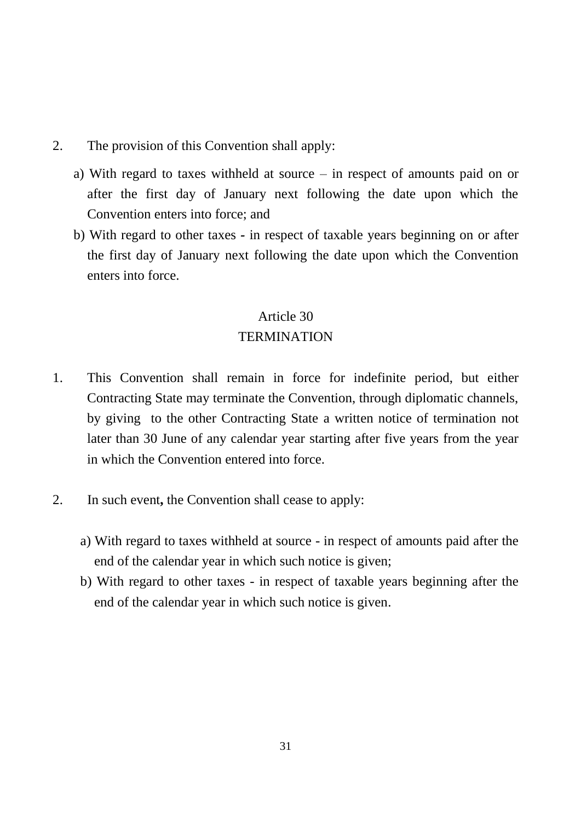- 2. The provision of this Convention shall apply:
	- a) With regard to taxes withheld at source in respect of amounts paid on or after the first day of January next following the date upon which the Convention enters into force; and
	- b) With regard to other taxes *-* in respect of taxable years beginning on or after the first day of January next following the date upon which the Convention enters into force.

# Article 30 **TERMINATION**

- 1. This Convention shall remain in force for indefinite period, but either Contracting State may terminate the Convention, through diplomatic channels, by giving to the other Contracting State a written notice of termination not later than 30 June of any calendar year starting after five years from the year in which the Convention entered into force.
- 2. In such event**,** the Convention shall cease to apply:
	- a) With regard to taxes withheld at source in respect of amounts paid after the end of the calendar year in which such notice is given;
	- b) With regard to other taxes in respect of taxable years beginning after the end of the calendar year in which such notice is given.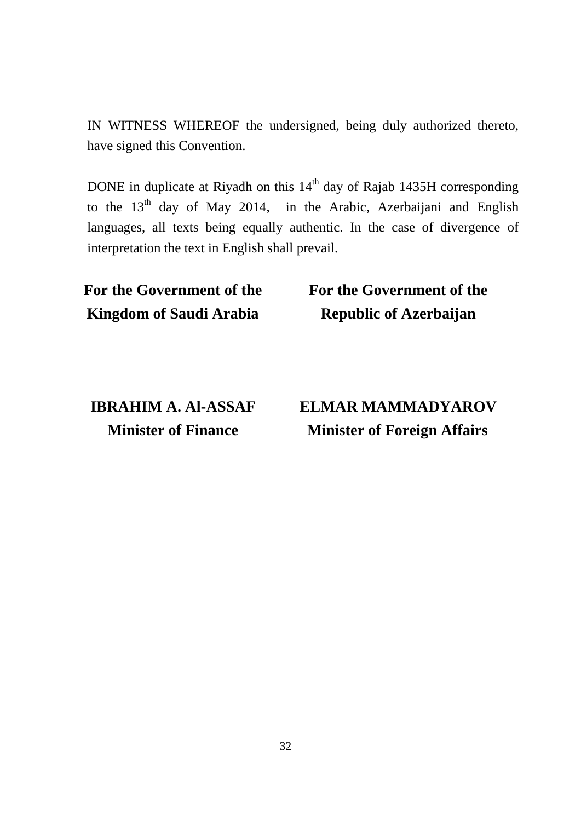IN WITNESS WHEREOF the undersigned, being duly authorized thereto, have signed this Convention.

DONE in duplicate at Riyadh on this  $14<sup>th</sup>$  day of Rajab 1435H corresponding to the  $13<sup>th</sup>$  day of May 2014, in the Arabic, Azerbaijani and English languages, all texts being equally authentic. In the case of divergence of interpretation the text in English shall prevail.

**For the Government of the Kingdom of Saudi Arabia**

**For the Government of the Republic of Azerbaijan**

**IBRAHIM A. Al-ASSAF Minister of Finance**

**ELMAR MAMMADYAROV Minister of Foreign Affairs**